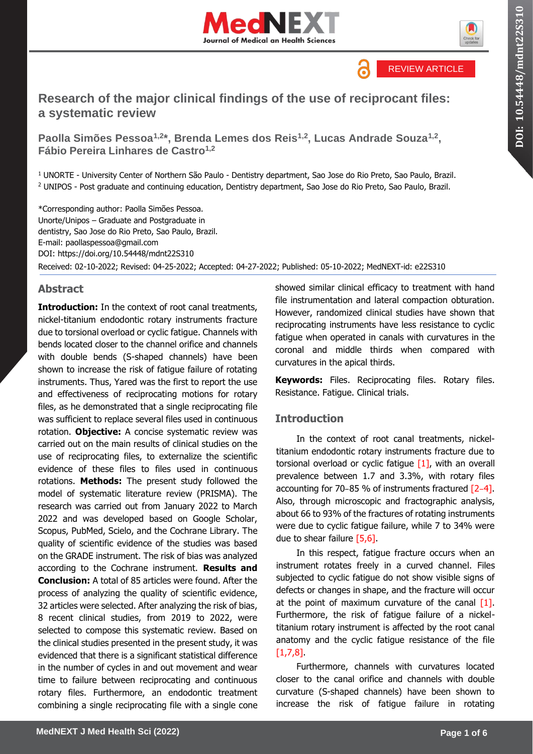



6 REVIEW ARTICLE

# **Research of the major clinical findings of the use of reciprocant files: a systematic review**

**Paolla Simões Pessoa1,2\*, Brenda Lemes dos Reis1,2, Lucas Andrade Souza1,2 , Fábio Pereira Linhares de Castro1,2**

<sup>1</sup> UNORTE - University Center of Northern São Paulo - Dentistry department, Sao Jose do Rio Preto, Sao Paulo, Brazil. <sup>2</sup> UNIPOS - Post graduate and continuing education, Dentistry department, Sao Jose do Rio Preto, Sao Paulo, Brazil.

\*Corresponding author: Paolla Simões Pessoa. Unorte/Unipos – Graduate and Postgraduate in dentistry, Sao Jose do Rio Preto, Sao Paulo, Brazil. E-mail: paollaspessoa@gmail.com DOI:<https://doi.org/10.54448/mdnt22S310> Received: 02-10-2022; Revised: 04-25-2022; Accepted: 04-27-2022; Published: 05-10-2022; MedNEXT-id: e22S310

# **Abstract**

**Introduction:** In the context of root canal treatments, nickel-titanium endodontic rotary instruments fracture due to torsional overload or cyclic fatigue. Channels with bends located closer to the channel orifice and channels with double bends (S-shaped channels) have been shown to increase the risk of fatigue failure of rotating instruments. Thus, Yared was the first to report the use and effectiveness of reciprocating motions for rotary files, as he demonstrated that a single reciprocating file was sufficient to replace several files used in continuous rotation. **Objective:** A concise systematic review was carried out on the main results of clinical studies on the use of reciprocating files, to externalize the scientific evidence of these files to files used in continuous rotations. **Methods:** The present study followed the model of systematic literature review (PRISMA). The research was carried out from January 2022 to March 2022 and was developed based on Google Scholar, Scopus, PubMed, Scielo, and the Cochrane Library. The quality of scientific evidence of the studies was based on the GRADE instrument. The risk of bias was analyzed according to the Cochrane instrument. **Results and Conclusion:** A total of 85 articles were found. After the process of analyzing the quality of scientific evidence, 32 articles were selected. After analyzing the risk of bias, 8 recent clinical studies, from 2019 to 2022, were selected to compose this systematic review. Based on the clinical studies presented in the present study, it was evidenced that there is a significant statistical difference in the number of cycles in and out movement and wear time to failure between reciprocating and continuous rotary files. Furthermore, an endodontic treatment combining a single reciprocating file with a single cone showed similar clinical efficacy to treatment with hand file instrumentation and lateral compaction obturation. However, randomized clinical studies have shown that reciprocating instruments have less resistance to cyclic fatigue when operated in canals with curvatures in the coronal and middle thirds when compared with curvatures in the apical thirds.

**Keywords:** Files. Reciprocating files. Rotary files. Resistance. Fatigue. Clinical trials.

## **Introduction**

In the context of root canal treatments, nickeltitanium endodontic rotary instruments fracture due to torsional overload or cyclic fatigue  $[1]$ , with an overall prevalence between 1.7 and 3.3%, with rotary files accounting for 70–85 % of instruments fractured [2–4]. Also, through microscopic and fractographic analysis, about 66 to 93% of the fractures of rotating instruments were due to cyclic fatigue failure, while 7 to 34% were due to shear failure [5,6].

In this respect, fatigue fracture occurs when an instrument rotates freely in a curved channel. Files subjected to cyclic fatigue do not show visible signs of defects or changes in shape, and the fracture will occur at the point of maximum curvature of the canal  $[1]$ . Furthermore, the risk of fatigue failure of a nickeltitanium rotary instrument is affected by the root canal anatomy and the cyclic fatigue resistance of the file  $[1,7,8]$ 

Furthermore, channels with curvatures located closer to the canal orifice and channels with double curvature (S-shaped channels) have been shown to increase the risk of fatigue failure in rotating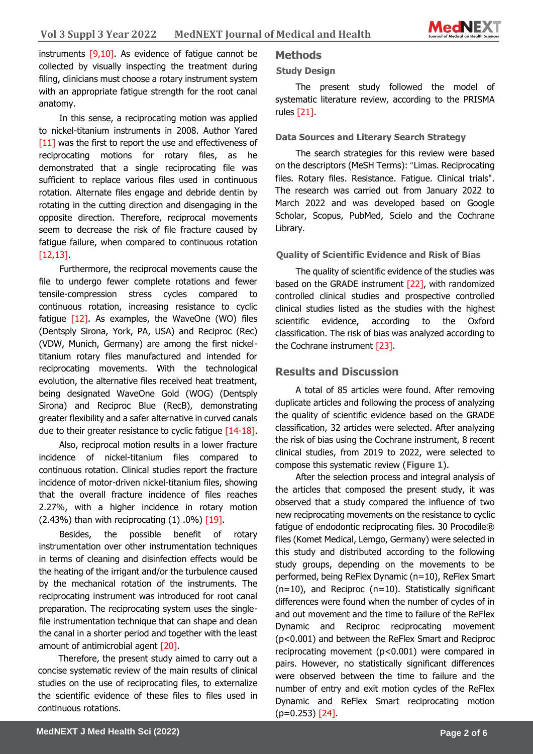

**Sciences** instruments [9,10]. As evidence of fatigue cannot be collected by visually inspecting the treatment during filing, clinicians must choose a rotary instrument system with an appropriate fatigue strength for the root canal anatomy.

In this sense, a reciprocating motion was applied to nickel-titanium instruments in 2008. Author Yared [11] was the first to report the use and effectiveness of reciprocating motions for rotary files, as he demonstrated that a single reciprocating file was sufficient to replace various files used in continuous rotation. Alternate files engage and debride dentin by rotating in the cutting direction and disengaging in the opposite direction. Therefore, reciprocal movements seem to decrease the risk of file fracture caused by fatigue failure, when compared to continuous rotation [12,13].

Furthermore, the reciprocal movements cause the file to undergo fewer complete rotations and fewer tensile-compression stress cycles compared to continuous rotation, increasing resistance to cyclic fatigue [12]. As examples, the WaveOne (WO) files (Dentsply Sirona, York, PA, USA) and Reciproc (Rec) (VDW, Munich, Germany) are among the first nickeltitanium rotary files manufactured and intended for reciprocating movements. With the technological evolution, the alternative files received heat treatment, being designated WaveOne Gold (WOG) (Dentsply Sirona) and Reciproc Blue (RecB), demonstrating greater flexibility and a safer alternative in curved canals due to their greater resistance to cyclic fatigue  $[14-18]$ .

Also, reciprocal motion results in a lower fracture incidence of nickel-titanium files compared to continuous rotation. Clinical studies report the fracture incidence of motor-driven nickel-titanium files, showing that the overall fracture incidence of files reaches 2.27%, with a higher incidence in rotary motion  $(2.43%)$  than with reciprocating  $(1)$  .0%)  $[19]$ .

Besides, the possible benefit of rotary instrumentation over other instrumentation techniques in terms of cleaning and disinfection effects would be the heating of the irrigant and/or the turbulence caused by the mechanical rotation of the instruments. The reciprocating instrument was introduced for root canal preparation. The reciprocating system uses the singlefile instrumentation technique that can shape and clean the canal in a shorter period and together with the least amount of antimicrobial agent [20].

Therefore, the present study aimed to carry out a concise systematic review of the main results of clinical studies on the use of reciprocating files, to externalize the scientific evidence of these files to files used in continuous rotations.

# **Study Design**

**Methods**

The present study followed the model of systematic literature review, according to the PRISMA rules [21].

### **Data Sources and Literary Search Strategy**

The search strategies for this review were based on the descriptors (MeSH Terms): "Limas. Reciprocating files. Rotary files. Resistance. Fatigue. Clinical trials". The research was carried out from January 2022 to March 2022 and was developed based on Google Scholar, Scopus, PubMed, Scielo and the Cochrane Library.

### **Quality of Scientific Evidence and Risk of Bias**

The quality of scientific evidence of the studies was based on the GRADE instrument [22], with randomized controlled clinical studies and prospective controlled clinical studies listed as the studies with the highest scientific evidence, according to the Oxford classification. The risk of bias was analyzed according to the Cochrane instrument [23].

## **Results and Discussion**

A total of 85 articles were found. After removing duplicate articles and following the process of analyzing the quality of scientific evidence based on the GRADE classification, 32 articles were selected. After analyzing the risk of bias using the Cochrane instrument, 8 recent clinical studies, from 2019 to 2022, were selected to compose this systematic review (**Figure 1**).

After the selection process and integral analysis of the articles that composed the present study, it was observed that a study compared the influence of two new reciprocating movements on the resistance to cyclic fatique of endodontic reciprocating files. 30 Procodile® files (Komet Medical, Lemgo, Germany) were selected in this study and distributed according to the following study groups, depending on the movements to be performed, being ReFlex Dynamic (n=10), ReFlex Smart (n=10), and Reciproc (n=10). Statistically significant differences were found when the number of cycles of in and out movement and the time to failure of the ReFlex Dynamic and Reciproc reciprocating movement (p<0.001) and between the ReFlex Smart and Reciproc reciprocating movement (p<0.001) were compared in pairs. However, no statistically significant differences were observed between the time to failure and the number of entry and exit motion cycles of the ReFlex Dynamic and ReFlex Smart reciprocating motion  $(p=0.253)$  [24].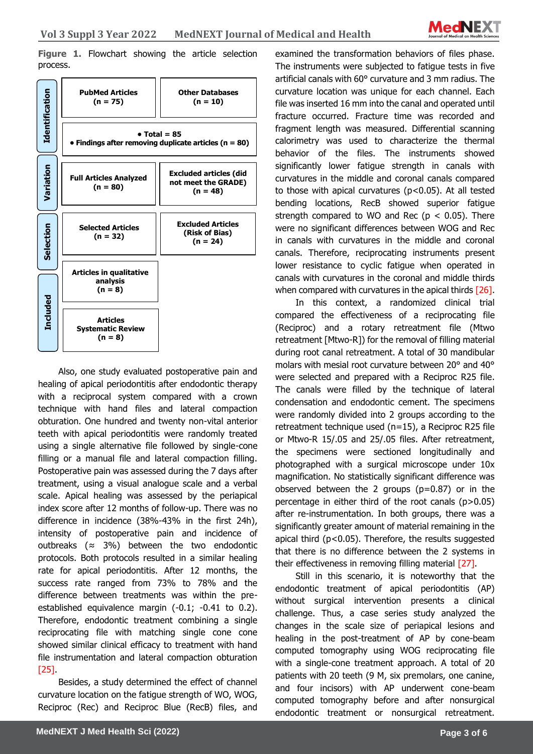

Figure 1. Flowchart showing the article selection process.



Also, one study evaluated postoperative pain and healing of apical periodontitis after endodontic therapy with a reciprocal system compared with a crown technique with hand files and lateral compaction obturation. One hundred and twenty non-vital anterior teeth with apical periodontitis were randomly treated using a single alternative file followed by single-cone filling or a manual file and lateral compaction filling. Postoperative pain was assessed during the 7 days after treatment, using a visual analogue scale and a verbal scale. Apical healing was assessed by the periapical index score after 12 months of follow-up. There was no difference in incidence (38%-43% in the first 24h), intensity of postoperative pain and incidence of outbreaks ( $\approx$  3%) between the two endodontic protocols. Both protocols resulted in a similar healing rate for apical periodontitis. After 12 months, the success rate ranged from 73% to 78% and the difference between treatments was within the preestablished equivalence margin (-0.1; -0.41 to 0.2). Therefore, endodontic treatment combining a single reciprocating file with matching single cone cone showed similar clinical efficacy to treatment with hand file instrumentation and lateral compaction obturation [25].

Besides, a study determined the effect of channel curvature location on the fatigue strength of WO, WOG, Reciproc (Rec) and Reciproc Blue (RecB) files, and

examined the transformation behaviors of files phase. The instruments were subjected to fatigue tests in five artificial canals with 60° curvature and 3 mm radius. The curvature location was unique for each channel. Each file was inserted 16 mm into the canal and operated until fracture occurred. Fracture time was recorded and fragment length was measured. Differential scanning calorimetry was used to characterize the thermal behavior of the files. The instruments showed significantly lower fatigue strength in canals with curvatures in the middle and coronal canals compared to those with apical curvatures ( $p$ <0.05). At all tested bending locations, RecB showed superior fatigue strength compared to WO and Rec ( $p < 0.05$ ). There were no significant differences between WOG and Rec in canals with curvatures in the middle and coronal canals. Therefore, reciprocating instruments present lower resistance to cyclic fatigue when operated in canals with curvatures in the coronal and middle thirds when compared with curvatures in the apical thirds [26].

In this context, a randomized clinical trial compared the effectiveness of a reciprocating file (Reciproc) and a rotary retreatment file (Mtwo retreatment [Mtwo-R]) for the removal of filling material during root canal retreatment. A total of 30 mandibular molars with mesial root curvature between 20° and 40° were selected and prepared with a Reciproc R25 file. The canals were filled by the technique of lateral condensation and endodontic cement. The specimens were randomly divided into 2 groups according to the retreatment technique used (n=15), a Reciproc R25 file or Mtwo-R 15/.05 and 25/.05 files. After retreatment, the specimens were sectioned longitudinally and photographed with a surgical microscope under 10x magnification. No statistically significant difference was observed between the 2 groups  $(p=0.87)$  or in the percentage in either third of the root canals (p>0.05) after re-instrumentation. In both groups, there was a significantly greater amount of material remaining in the apical third (p<0.05). Therefore, the results suggested that there is no difference between the 2 systems in their effectiveness in removing filling material [27].

Still in this scenario, it is noteworthy that the endodontic treatment of apical periodontitis (AP) without surgical intervention presents a clinical challenge. Thus, a case series study analyzed the changes in the scale size of periapical lesions and healing in the post-treatment of AP by cone-beam computed tomography using WOG reciprocating file with a single-cone treatment approach. A total of 20 patients with 20 teeth (9 M, six premolars, one canine, and four incisors) with AP underwent cone-beam computed tomography before and after nonsurgical endodontic treatment or nonsurgical retreatment.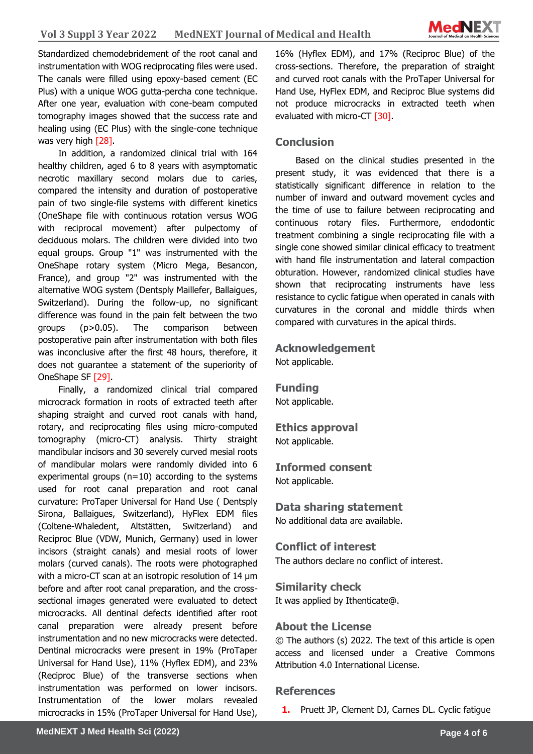Standardized chemodebridement of the root canal and instrumentation with WOG reciprocating files were used. The canals were filled using epoxy-based cement (EC Plus) with a unique WOG gutta-percha cone technique. After one year, evaluation with cone-beam computed tomography images showed that the success rate and healing using (EC Plus) with the single-cone technique was very high [28].

In addition, a randomized clinical trial with 164 healthy children, aged 6 to 8 years with asymptomatic necrotic maxillary second molars due to caries, compared the intensity and duration of postoperative pain of two single-file systems with different kinetics (OneShape file with continuous rotation versus WOG with reciprocal movement) after pulpectomy of deciduous molars. The children were divided into two equal groups. Group "1" was instrumented with the OneShape rotary system (Micro Mega, Besancon, France), and group "2" was instrumented with the alternative WOG system (Dentsply Maillefer, Ballaigues, Switzerland). During the follow-up, no significant difference was found in the pain felt between the two groups (p>0.05). The comparison between postoperative pain after instrumentation with both files was inconclusive after the first 48 hours, therefore, it does not guarantee a statement of the superiority of OneShape SF [29].

Finally, a randomized clinical trial compared microcrack formation in roots of extracted teeth after shaping straight and curved root canals with hand, rotary, and reciprocating files using micro-computed tomography (micro-CT) analysis. Thirty straight mandibular incisors and 30 severely curved mesial roots of mandibular molars were randomly divided into 6 experimental groups  $(n=10)$  according to the systems used for root canal preparation and root canal curvature: ProTaper Universal for Hand Use ( Dentsply Sirona, Ballaigues, Switzerland), HyFlex EDM files (Coltene-Whaledent, Altstätten, Switzerland) and Reciproc Blue (VDW, Munich, Germany) used in lower incisors (straight canals) and mesial roots of lower molars (curved canals). The roots were photographed with a micro-CT scan at an isotropic resolution of 14 μm before and after root canal preparation, and the crosssectional images generated were evaluated to detect microcracks. All dentinal defects identified after root canal preparation were already present before instrumentation and no new microcracks were detected. Dentinal microcracks were present in 19% (ProTaper Universal for Hand Use), 11% (Hyflex EDM), and 23% (Reciproc Blue) of the transverse sections when instrumentation was performed on lower incisors. Instrumentation of the lower molars revealed microcracks in 15% (ProTaper Universal for Hand Use),

16% (Hyflex EDM), and 17% (Reciproc Blue) of the cross-sections. Therefore, the preparation of straight and curved root canals with the ProTaper Universal for Hand Use, HyFlex EDM, and Reciproc Blue systems did not produce microcracks in extracted teeth when evaluated with micro-CT [30].

## **Conclusion**

Based on the clinical studies presented in the present study, it was evidenced that there is a statistically significant difference in relation to the number of inward and outward movement cycles and the time of use to failure between reciprocating and continuous rotary files. Furthermore, endodontic treatment combining a single reciprocating file with a single cone showed similar clinical efficacy to treatment with hand file instrumentation and lateral compaction obturation. However, randomized clinical studies have shown that reciprocating instruments have less resistance to cyclic fatigue when operated in canals with curvatures in the coronal and middle thirds when compared with curvatures in the apical thirds.

# **Acknowledgement**

Not applicable.

**Funding** Not applicable.

**Ethics approval**  Not applicable.

# **Informed consent** Not applicable.

**Data sharing statement** No additional data are available.

### **Conflict of interest**

The authors declare no conflict of interest.

### **Similarity check**

It was applied by Ithenticate@.

## **About the License**

© The authors (s) 2022. The text of this article is open access and licensed under a Creative Commons Attribution 4.0 International License.

### **References**

**1.** Pruett JP, Clement DJ, Carnes DL. Cyclic fatigue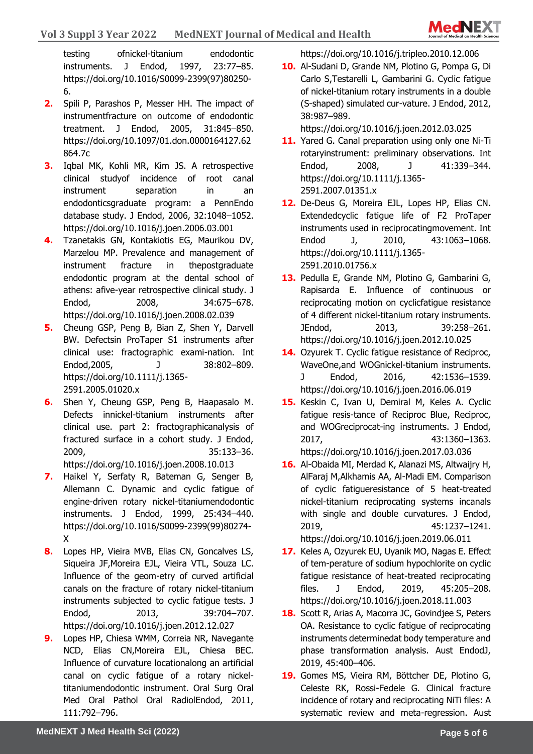**Sciences** testing ofnickel-titanium endodontic instruments. J Endod, 1997, 23:77–85. https://doi.org/10.1016/S0099-2399(97)80250- 6.

- **2.** Spili P, Parashos P, Messer HH. The impact of instrumentfracture on outcome of endodontic treatment. J Endod, 2005, 31:845–850. https://doi.org/10.1097/01.don.0000164127.62 864.7c
- **3.** Iqbal MK, Kohli MR, Kim JS. A retrospective clinical studyof incidence of root canal instrument separation in an endodonticsgraduate program: a PennEndo database study. J Endod, 2006, 32:1048–1052. https://doi.org/10.1016/j.joen.2006.03.001
- **4.** Tzanetakis GN, Kontakiotis EG, Maurikou DV, Marzelou MP. Prevalence and management of instrument fracture in thepostgraduate endodontic program at the dental school of athens: afive-year retrospective clinical study. J Endod, 2008, 34:675–678. https://doi.org/10.1016/j.joen.2008.02.039
- **5.** Cheung GSP, Peng B, Bian Z, Shen Y, Darvell BW. Defectsin ProTaper S1 instruments after clinical use: fractographic exami-nation. Int Endod, 2005, J 38:802–809. https://doi.org/10.1111/j.1365- 2591.2005.01020.x
- **6.** Shen Y, Cheung GSP, Peng B, Haapasalo M. Defects innickel-titanium instruments after clinical use. part 2: fractographicanalysis of fractured surface in a cohort study. J Endod, 2009, 35:133–36. https://doi.org/10.1016/j.joen.2008.10.013
- **7.** Haikel Y, Serfaty R, Bateman G, Senger B, Allemann C. Dynamic and cyclic fatigue of engine-driven rotary nickel-titaniumendodontic instruments. J Endod, 1999, 25:434–440. https://doi.org/10.1016/S0099-2399(99)80274- X
- **8.** Lopes HP, Vieira MVB, Elias CN, Goncalves LS, Siqueira JF,Moreira EJL, Vieira VTL, Souza LC. Influence of the geom-etry of curved artificial canals on the fracture of rotary nickel-titanium instruments subjected to cyclic fatigue tests. J Endod, 2013, 39:704–707. https://doi.org/10.1016/j.joen.2012.12.027
- **9.** Lopes HP, Chiesa WMM, Correia NR, Navegante NCD, Elias CN,Moreira EJL, Chiesa BEC. Influence of curvature locationalong an artificial canal on cyclic fatigue of a rotary nickeltitaniumendodontic instrument. Oral Surg Oral Med Oral Pathol Oral RadiolEndod, 2011, 111:792–796.

https://doi.org/10.1016/j.tripleo.2010.12.006

**10.** Al-Sudani D, Grande NM, Plotino G, Pompa G, Di Carlo S,Testarelli L, Gambarini G. Cyclic fatigue of nickel-titanium rotary instruments in a double (S-shaped) simulated cur-vature. J Endod, 2012, 38:987–989.

https://doi.org/10.1016/j.joen.2012.03.025

- 11. Yared G. Canal preparation using only one Ni-Ti rotaryinstrument: preliminary observations. Int Endod, 2008, J 41:339-344. https://doi.org/10.1111/j.1365- 2591.2007.01351.x
- **12.** De-Deus G, Moreira EJL, Lopes HP, Elias CN. Extendedcyclic fatigue life of F2 ProTaper instruments used in reciprocatingmovement. Int Endod J, 2010, 43:1063-1068. https://doi.org/10.1111/j.1365- 2591.2010.01756.x
- **13.** Pedulla E, Grande NM, Plotino G, Gambarini G, Rapisarda E. Influence of continuous or reciprocating motion on cyclicfatigue resistance of 4 different nickel-titanium rotary instruments. JEndod, 2013, 39:258–261. https://doi.org/10.1016/j.joen.2012.10.025
- **14.** Ozyurek T. Cyclic fatigue resistance of Reciproc, WaveOne,and WOGnickel-titanium instruments. J Endod, 2016, 42:1536–1539. https://doi.org/10.1016/j.joen.2016.06.019
- **15.** Keskin C, Ivan U, Demiral M, Keles A. Cyclic fatigue resis-tance of Reciproc Blue, Reciproc, and WOGreciprocat-ing instruments. J Endod, 2017, 43:1360–1363. https://doi.org/10.1016/j.joen.2017.03.036
- **16.** Al-Obaida MI, Merdad K, Alanazi MS, Altwaijry H, AlFaraj M,Alkhamis AA, Al-Madi EM. Comparison of cyclic fatigueresistance of 5 heat-treated nickel-titanium reciprocating systems incanals with single and double curvatures. J Endod, 2019, 45:1237–1241. https://doi.org/10.1016/j.joen.2019.06.011
- **17.** Keles A, Ozyurek EU, Uyanik MO, Nagas E. Effect of tem-perature of sodium hypochlorite on cyclic fatigue resistance of heat-treated reciprocating files. J Endod, 2019, 45:205–208. https://doi.org/10.1016/j.joen.2018.11.003
- **18.** Scott R, Arias A, Macorra JC, Govindjee S, Peters OA. Resistance to cyclic fatigue of reciprocating instruments determinedat body temperature and phase transformation analysis. Aust EndodJ, 2019, 45:400–406.
- **19.** Gomes MS, Vieira RM, Böttcher DE, Plotino G, Celeste RK, Rossi-Fedele G. Clinical fracture incidence of rotary and reciprocating NiTi files: A systematic review and meta-regression. Aust